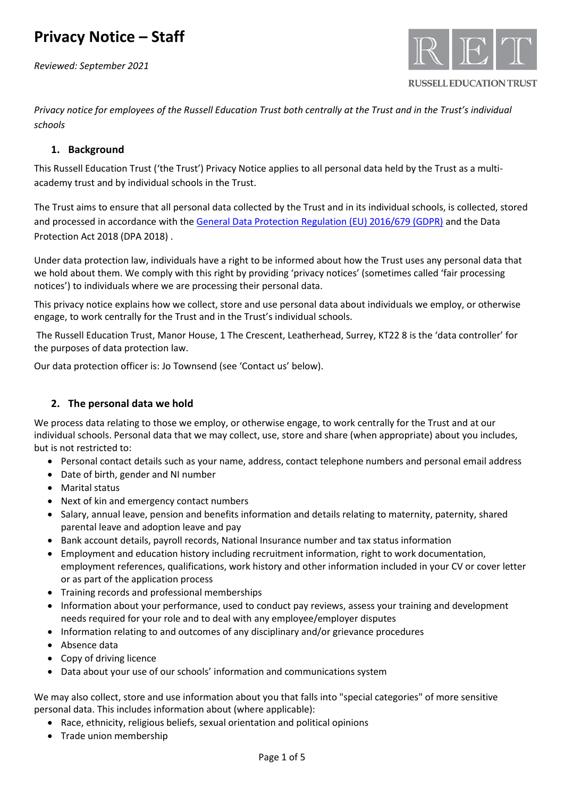*Reviewed: September 2021*



**RUSSELL EDUCATION TRUST** 

*Privacy notice for employees of the Russell Education Trust both centrally at the Trust and in the Trust's individual schools*

## **1. Background**

This Russell Education Trust ('the Trust') Privacy Notice applies to all personal data held by the Trust as a multiacademy trust and by individual schools in the Trust.

The Trust aims to ensure that all personal data collected by the Trust and in its individual schools, is collected, stored and processed in accordance with th[e General Data Protection Regulation \(EU\) 2016/679 \(GDPR\)](http://data.consilium.europa.eu/doc/document/ST-5419-2016-INIT/en/pdf) and the Data Protection Act 2018 (DPA 2018) .

Under data protection law, individuals have a right to be informed about how the Trust uses any personal data that we hold about them. We comply with this right by providing 'privacy notices' (sometimes called 'fair processing notices') to individuals where we are processing their personal data.

This privacy notice explains how we collect, store and use personal data about individuals we employ, or otherwise engage, to work centrally for the Trust and in the Trust's individual schools.

The Russell Education Trust, Manor House, 1 The Crescent, Leatherhead, Surrey, KT22 8 is the 'data controller' for the purposes of data protection law.

Our data protection officer is: Jo Townsend (see 'Contact us' below).

# **2. The personal data we hold**

We process data relating to those we employ, or otherwise engage, to work centrally for the Trust and at our individual schools. Personal data that we may collect, use, store and share (when appropriate) about you includes, but is not restricted to:

- Personal contact details such as your name, address, contact telephone numbers and personal email address
- Date of birth, gender and NI number
- Marital status
- Next of kin and emergency contact numbers
- Salary, annual leave, pension and benefits information and details relating to maternity, paternity, shared parental leave and adoption leave and pay
- Bank account details, payroll records, National Insurance number and tax status information
- Employment and education history including recruitment information, right to work documentation, employment references, qualifications, work history and other information included in your CV or cover letter or as part of the application process
- Training records and professional memberships
- Information about your performance, used to conduct pay reviews, assess your training and development needs required for your role and to deal with any employee/employer disputes
- Information relating to and outcomes of any disciplinary and/or grievance procedures
- Absence data
- Copy of driving licence
- Data about your use of our schools' information and communications system

We may also collect, store and use information about you that falls into "special categories" of more sensitive personal data. This includes information about (where applicable):

- Race, ethnicity, religious beliefs, sexual orientation and political opinions
- Trade union membership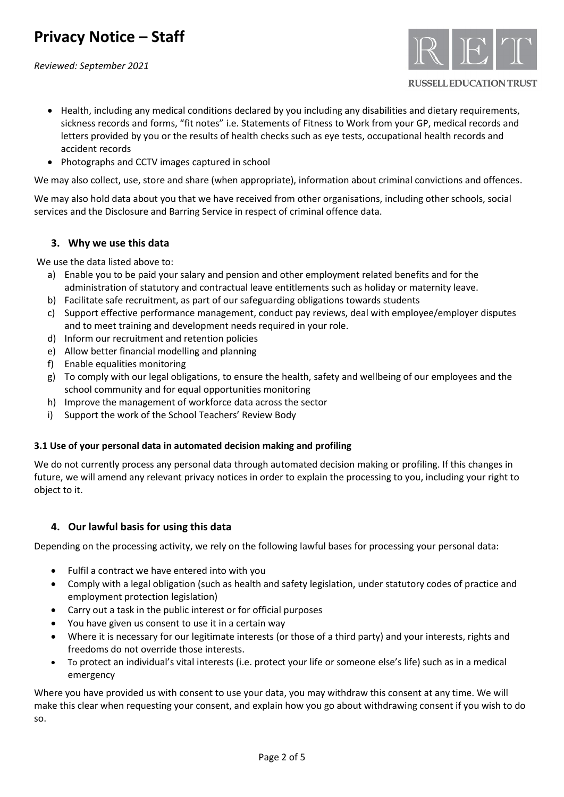*Reviewed: September 2021*



**RUSSELL EDUCATION TRUST** 

- Health, including any medical conditions declared by you including any disabilities and dietary requirements, sickness records and forms, "fit notes" i.e. Statements of Fitness to Work from your GP, medical records and letters provided by you or the results of health checks such as eye tests, occupational health records and accident records
- Photographs and CCTV images captured in school

We may also collect, use, store and share (when appropriate), information about criminal convictions and offences.

We may also hold data about you that we have received from other organisations, including other schools, social services and the Disclosure and Barring Service in respect of criminal offence data.

## **3. Why we use this data**

We use the data listed above to:

- a) Enable you to be paid your salary and pension and other employment related benefits and for the administration of statutory and contractual leave entitlements such as holiday or maternity leave.
- b) Facilitate safe recruitment, as part of our safeguarding obligations towards students
- c) Support effective performance management, conduct pay reviews, deal with employee/employer disputes and to meet training and development needs required in your role.
- d) Inform our recruitment and retention policies
- e) Allow better financial modelling and planning
- f) Enable equalities monitoring
- g) To comply with our legal obligations, to ensure the health, safety and wellbeing of our employees and the school community and for equal opportunities monitoring
- h) Improve the management of workforce data across the sector
- i) Support the work of the School Teachers' Review Body

### **3.1 Use of your personal data in automated decision making and profiling**

We do not currently process any personal data through automated decision making or profiling. If this changes in future, we will amend any relevant privacy notices in order to explain the processing to you, including your right to object to it.

## **4. Our lawful basis for using this data**

Depending on the processing activity, we rely on the following lawful bases for processing your personal data:

- Fulfil a contract we have entered into with you
- Comply with a legal obligation (such as health and safety legislation, under statutory codes of practice and employment protection legislation)
- Carry out a task in the public interest or for official purposes
- You have given us consent to use it in a certain way
- Where it is necessary for our legitimate interests (or those of a third party) and your interests, rights and freedoms do not override those interests.
- To protect an individual's vital interests (i.e. protect your life or someone else's life) such as in a medical emergency

Where you have provided us with consent to use your data, you may withdraw this consent at any time. We will make this clear when requesting your consent, and explain how you go about withdrawing consent if you wish to do so.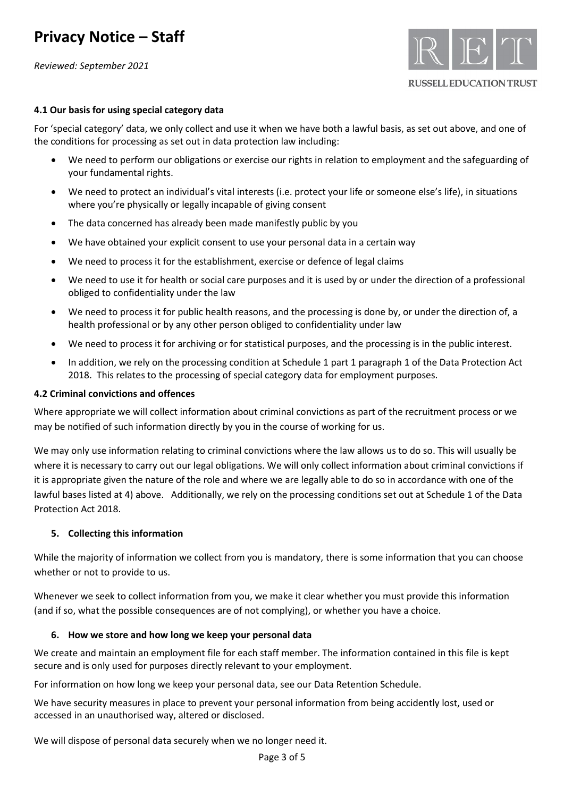*Reviewed: September 2021*



### **4.1 Our basis for using special category data**

For 'special category' data, we only collect and use it when we have both a lawful basis, as set out above, and one of the conditions for processing as set out in data protection law including:

- We need to perform our obligations or exercise our rights in relation to employment and the safeguarding of your fundamental rights.
- We need to protect an individual's vital interests (i.e. protect your life or someone else's life), in situations where you're physically or legally incapable of giving consent
- The data concerned has already been made manifestly public by you
- We have obtained your explicit consent to use your personal data in a certain way
- We need to process it for the establishment, exercise or defence of legal claims
- We need to use it for health or social care purposes and it is used by or under the direction of a professional obliged to confidentiality under the law
- We need to process it for public health reasons, and the processing is done by, or under the direction of, a health professional or by any other person obliged to confidentiality under law
- We need to process it for archiving or for statistical purposes, and the processing is in the public interest.
- In addition, we rely on the processing condition at Schedule 1 part 1 paragraph 1 of the Data Protection Act 2018. This relates to the processing of special category data for employment purposes.

### **4.2 Criminal convictions and offences**

Where appropriate we will collect information about criminal convictions as part of the recruitment process or we may be notified of such information directly by you in the course of working for us.

We may only use information relating to criminal convictions where the law allows us to do so. This will usually be where it is necessary to carry out our legal obligations. We will only collect information about criminal convictions if it is appropriate given the nature of the role and where we are legally able to do so in accordance with one of the lawful bases listed at 4) above. Additionally, we rely on the processing conditions set out at Schedule 1 of the Data Protection Act 2018.

#### **5. Collecting this information**

While the majority of information we collect from you is mandatory, there is some information that you can choose whether or not to provide to us.

Whenever we seek to collect information from you, we make it clear whether you must provide this information (and if so, what the possible consequences are of not complying), or whether you have a choice.

#### **6. How we store and how long we keep your personal data**

We create and maintain an employment file for each staff member. The information contained in this file is kept secure and is only used for purposes directly relevant to your employment.

For information on how long we keep your personal data, see our Data Retention Schedule.

We have security measures in place to prevent your personal information from being accidently lost, used or accessed in an unauthorised way, altered or disclosed.

We will dispose of personal data securely when we no longer need it.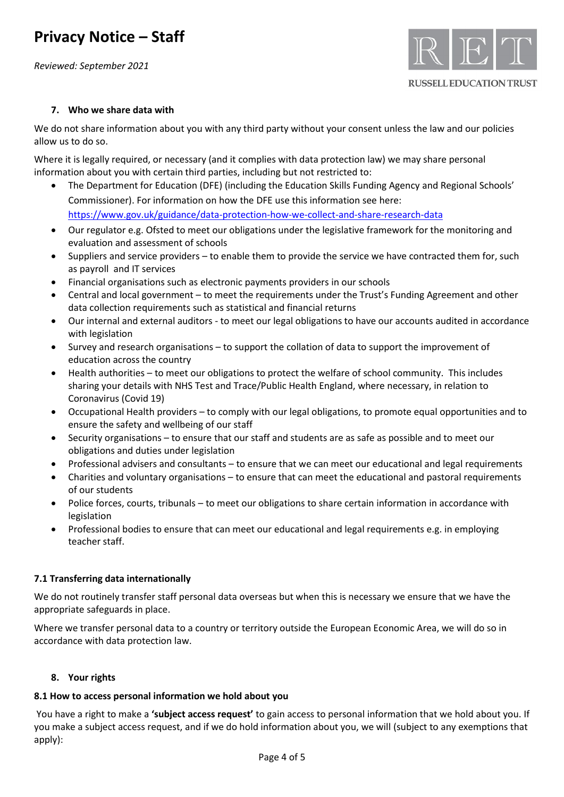*Reviewed: September 2021*



### **RUSSELL EDUCATION TRUST**

### **7. Who we share data with**

We do not share information about you with any third party without your consent unless the law and our policies allow us to do so.

Where it is legally required, or necessary (and it complies with data protection law) we may share personal information about you with certain third parties, including but not restricted to:

- The Department for Education (DFE) (including the Education Skills Funding Agency and Regional Schools' Commissioner). For information on how the DFE use this information see here: <https://www.gov.uk/guidance/data-protection-how-we-collect-and-share-research-data>
- Our regulator e.g. Ofsted to meet our obligations under the legislative framework for the monitoring and evaluation and assessment of schools
- Suppliers and service providers to enable them to provide the service we have contracted them for, such as payroll and IT services
- Financial organisations such as electronic payments providers in our schools
- Central and local government to meet the requirements under the Trust's Funding Agreement and other data collection requirements such as statistical and financial returns
- Our internal and external auditors to meet our legal obligations to have our accounts audited in accordance with legislation
- Survey and research organisations to support the collation of data to support the improvement of education across the country
- Health authorities to meet our obligations to protect the welfare of school community. This includes sharing your details with NHS Test and Trace/Public Health England, where necessary, in relation to Coronavirus (Covid 19)
- Occupational Health providers to comply with our legal obligations, to promote equal opportunities and to ensure the safety and wellbeing of our staff
- Security organisations to ensure that our staff and students are as safe as possible and to meet our obligations and duties under legislation
- Professional advisers and consultants to ensure that we can meet our educational and legal requirements
- Charities and voluntary organisations to ensure that can meet the educational and pastoral requirements of our students
- Police forces, courts, tribunals to meet our obligations to share certain information in accordance with legislation
- Professional bodies to ensure that can meet our educational and legal requirements e.g. in employing teacher staff.

### **7.1 Transferring data internationally**

We do not routinely transfer staff personal data overseas but when this is necessary we ensure that we have the appropriate safeguards in place.

Where we transfer personal data to a country or territory outside the European Economic Area, we will do so in accordance with data protection law.

### **8. Your rights**

### **8.1 How to access personal information we hold about you**

You have a right to make a **'subject access request'** to gain access to personal information that we hold about you. If you make a subject access request, and if we do hold information about you, we will (subject to any exemptions that apply):